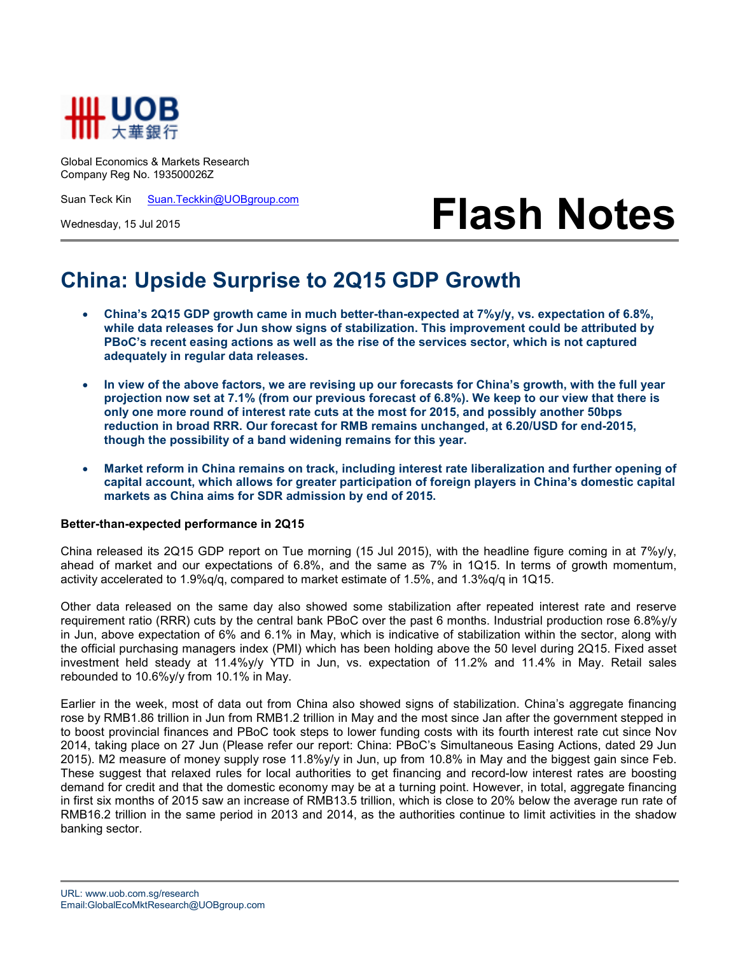

Global Economics & Markets Research Company Reg No. 193500026Z

Suan Teck Kin Suan.Teckkin@UOBgroup.com

Wednesday, 15 Jul 2015

# **Flash Notes**

## **China: Upside Surprise to 2Q15 GDP Growth**

- **China's 2Q15 GDP growth came in much better-than-expected at 7%y/y, vs. expectation of 6.8%, while data releases for Jun show signs of stabilization. This improvement could be attributed by PBoC's recent easing actions as well as the rise of the services sector, which is not captured adequately in regular data releases.**
- **In view of the above factors, we are revising up our forecasts for China's growth, with the full year projection now set at 7.1% (from our previous forecast of 6.8%). We keep to our view that there is only one more round of interest rate cuts at the most for 2015, and possibly another 50bps reduction in broad RRR. Our forecast for RMB remains unchanged, at 6.20/USD for end-2015, though the possibility of a band widening remains for this year.**
- **Market reform in China remains on track, including interest rate liberalization and further opening of capital account, which allows for greater participation of foreign players in China's domestic capital markets as China aims for SDR admission by end of 2015.**

#### **Better-than-expected performance in 2Q15**

China released its 2Q15 GDP report on Tue morning (15 Jul 2015), with the headline figure coming in at 7%y/y, ahead of market and our expectations of 6.8%, and the same as 7% in 1Q15. In terms of growth momentum, activity accelerated to 1.9%q/q, compared to market estimate of 1.5%, and 1.3%q/q in 1Q15.

Other data released on the same day also showed some stabilization after repeated interest rate and reserve requirement ratio (RRR) cuts by the central bank PBoC over the past 6 months. Industrial production rose 6.8%y/y in Jun, above expectation of 6% and 6.1% in May, which is indicative of stabilization within the sector, along with the official purchasing managers index (PMI) which has been holding above the 50 level during 2Q15. Fixed asset investment held steady at 11.4%y/y YTD in Jun, vs. expectation of 11.2% and 11.4% in May. Retail sales rebounded to 10.6%y/y from 10.1% in May.

Earlier in the week, most of data out from China also showed signs of stabilization. China's aggregate financing rose by RMB1.86 trillion in Jun from RMB1.2 trillion in May and the most since Jan after the government stepped in to boost provincial finances and PBoC took steps to lower funding costs with its fourth interest rate cut since Nov 2014, taking place on 27 Jun (Please refer our report: China: PBoC's Simultaneous Easing Actions, dated 29 Jun 2015). M2 measure of money supply rose 11.8%y/y in Jun, up from 10.8% in May and the biggest gain since Feb. These suggest that relaxed rules for local authorities to get financing and record-low interest rates are boosting demand for credit and that the domestic economy may be at a turning point. However, in total, aggregate financing in first six months of 2015 saw an increase of RMB13.5 trillion, which is close to 20% below the average run rate of RMB16.2 trillion in the same period in 2013 and 2014, as the authorities continue to limit activities in the shadow banking sector.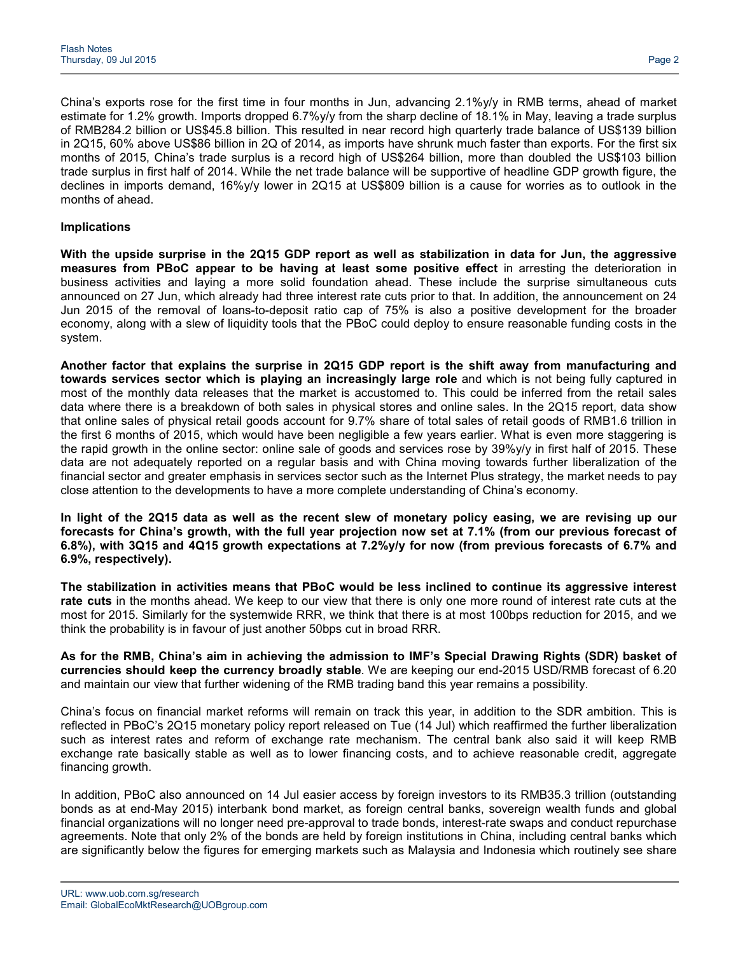China's exports rose for the first time in four months in Jun, advancing 2.1%y/y in RMB terms, ahead of market estimate for 1.2% growth. Imports dropped 6.7%y/y from the sharp decline of 18.1% in May, leaving a trade surplus of RMB284.2 billion or US\$45.8 billion. This resulted in near record high quarterly trade balance of US\$139 billion in 2Q15, 60% above US\$86 billion in 2Q of 2014, as imports have shrunk much faster than exports. For the first six months of 2015, China's trade surplus is a record high of US\$264 billion, more than doubled the US\$103 billion trade surplus in first half of 2014. While the net trade balance will be supportive of headline GDP growth figure, the declines in imports demand, 16%y/y lower in 2Q15 at US\$809 billion is a cause for worries as to outlook in the months of ahead.

### **Implications**

**With the upside surprise in the 2Q15 GDP report as well as stabilization in data for Jun, the aggressive measures from PBoC appear to be having at least some positive effect** in arresting the deterioration in business activities and laying a more solid foundation ahead. These include the surprise simultaneous cuts announced on 27 Jun, which already had three interest rate cuts prior to that. In addition, the announcement on 24 Jun 2015 of the removal of loans-to-deposit ratio cap of 75% is also a positive development for the broader economy, along with a slew of liquidity tools that the PBoC could deploy to ensure reasonable funding costs in the system.

**Another factor that explains the surprise in 2Q15 GDP report is the shift away from manufacturing and towards services sector which is playing an increasingly large role** and which is not being fully captured in most of the monthly data releases that the market is accustomed to. This could be inferred from the retail sales data where there is a breakdown of both sales in physical stores and online sales. In the 2Q15 report, data show that online sales of physical retail goods account for 9.7% share of total sales of retail goods of RMB1.6 trillion in the first 6 months of 2015, which would have been negligible a few years earlier. What is even more staggering is the rapid growth in the online sector: online sale of goods and services rose by 39%y/y in first half of 2015. These data are not adequately reported on a regular basis and with China moving towards further liberalization of the financial sector and greater emphasis in services sector such as the Internet Plus strategy, the market needs to pay close attention to the developments to have a more complete understanding of China's economy.

**In light of the 2Q15 data as well as the recent slew of monetary policy easing, we are revising up our forecasts for China's growth, with the full year projection now set at 7.1% (from our previous forecast of 6.8%), with 3Q15 and 4Q15 growth expectations at 7.2%y/y for now (from previous forecasts of 6.7% and 6.9%, respectively).** 

**The stabilization in activities means that PBoC would be less inclined to continue its aggressive interest rate cuts** in the months ahead. We keep to our view that there is only one more round of interest rate cuts at the most for 2015. Similarly for the systemwide RRR, we think that there is at most 100bps reduction for 2015, and we think the probability is in favour of just another 50bps cut in broad RRR.

**As for the RMB, China's aim in achieving the admission to IMF's Special Drawing Rights (SDR) basket of currencies should keep the currency broadly stable**. We are keeping our end-2015 USD/RMB forecast of 6.20 and maintain our view that further widening of the RMB trading band this year remains a possibility.

China's focus on financial market reforms will remain on track this year, in addition to the SDR ambition. This is reflected in PBoC's 2Q15 monetary policy report released on Tue (14 Jul) which reaffirmed the further liberalization such as interest rates and reform of exchange rate mechanism. The central bank also said it will keep RMB exchange rate basically stable as well as to lower financing costs, and to achieve reasonable credit, aggregate financing growth.

In addition, PBoC also announced on 14 Jul easier access by foreign investors to its RMB35.3 trillion (outstanding bonds as at end-May 2015) interbank bond market, as foreign central banks, sovereign wealth funds and global financial organizations will no longer need pre-approval to trade bonds, interest-rate swaps and conduct repurchase agreements. Note that only 2% of the bonds are held by foreign institutions in China, including central banks which are significantly below the figures for emerging markets such as Malaysia and Indonesia which routinely see share